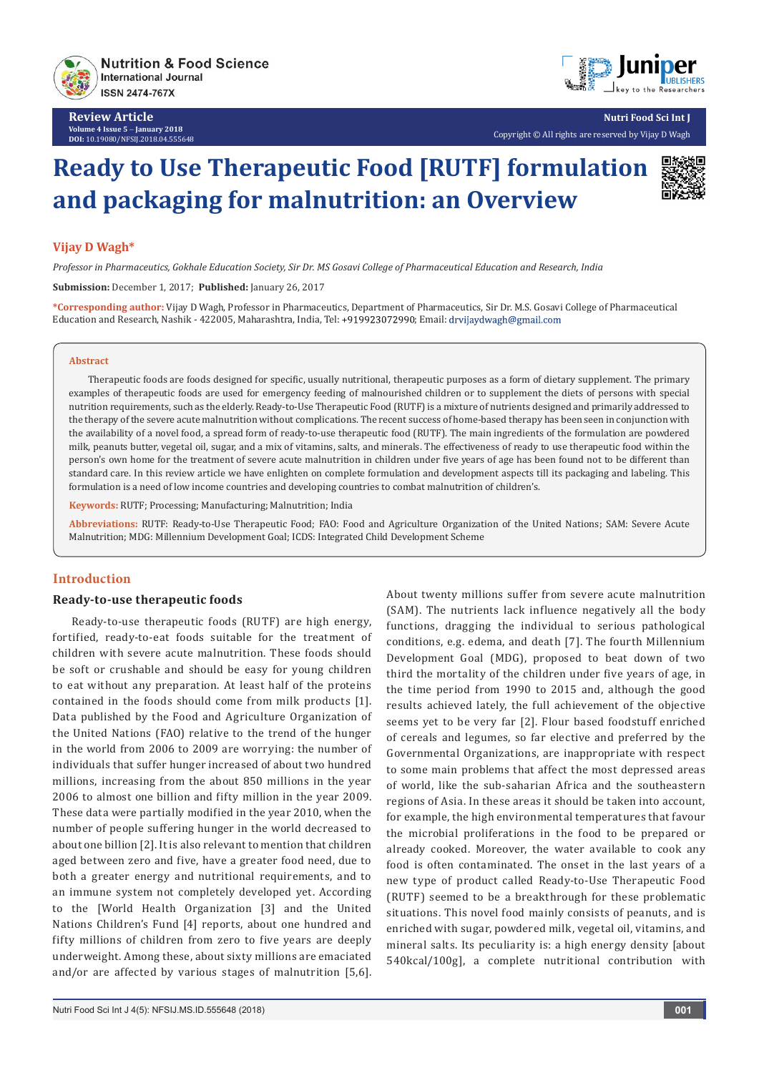

**Review Article Volume 4 Issue 5** - **January 2018 DOI:** [10.19080/NFSIJ.2018.04.555648](http://dx.doi.org/10.19080/NFSIJ.2018.04.555648)



**Nutri Food Sci Int J** Copyright © All rights are reserved by Vijay D Wagh

# **Ready to Use Therapeutic Food [RUTF] formulation and packaging for malnutrition: an Overview**

## **Vijay D Wagh\***

*Professor in Pharmaceutics, Gokhale Education Society, Sir Dr. MS Gosavi College of Pharmaceutical Education and Research, India*

**Submission:** December 1, 2017; **Published:** January 26, 2017

**\*Corresponding author:** Vijay D Wagh, Professor in Pharmaceutics, Department of Pharmaceutics, Sir Dr. M.S. Gosavi College of Pharmaceutical Education and Research, Nashik - 422005, Maharashtra, India, Tel: +919923072990; Email: drvijaydwagh@gmail.com

#### **Abstract**

Therapeutic foods are foods designed for specific, usually nutritional, therapeutic purposes as a form of dietary supplement. The primary examples of therapeutic foods are used for emergency feeding of malnourished children or to supplement the diets of persons with special nutrition requirements, such as the elderly. Ready-to-Use Therapeutic Food (RUTF) is a mixture of nutrients designed and primarily addressed to the therapy of the severe acute malnutrition without complications. The recent success of home-based therapy has been seen in conjunction with the availability of a novel food, a spread form of ready-to-use therapeutic food (RUTF). The main ingredients of the formulation are powdered milk, peanuts butter, vegetal oil, sugar, and a mix of vitamins, salts, and minerals. The effectiveness of ready to use therapeutic food within the person's own home for the treatment of severe acute malnutrition in children under five years of age has been found not to be different than standard care. In this review article we have enlighten on complete formulation and development aspects till its packaging and labeling. This formulation is a need of low income countries and developing countries to combat malnutrition of children's.

**Keywords:** RUTF; Processing; Manufacturing; Malnutrition; India

**Abbreviations:** RUTF: Ready-to-Use Therapeutic Food; FAO: Food and Agriculture Organization of the United Nations; SAM: Severe Acute Malnutrition; MDG: Millennium Development Goal; ICDS: Integrated Child Development Scheme

## **Introduction**

#### **Ready-to-use therapeutic foods**

Ready-to-use therapeutic foods (RUTF) are high energy, fortified, ready-to-eat foods suitable for the treatment of children with severe acute malnutrition. These foods should be soft or crushable and should be easy for young children to eat without any preparation. At least half of the proteins contained in the foods should come from milk products [1]. Data published by the Food and Agriculture Organization of the United Nations (FAO) relative to the trend of the hunger in the world from 2006 to 2009 are worrying: the number of individuals that suffer hunger increased of about two hundred millions, increasing from the about 850 millions in the year 2006 to almost one billion and fifty million in the year 2009. These data were partially modified in the year 2010, when the number of people suffering hunger in the world decreased to about one billion [2]. It is also relevant to mention that children aged between zero and five, have a greater food need, due to both a greater energy and nutritional requirements, and to an immune system not completely developed yet. According to the [World Health Organization [3] and the United Nations Children's Fund [4] reports, about one hundred and fifty millions of children from zero to five years are deeply underweight. Among these, about sixty millions are emaciated and/or are affected by various stages of malnutrition [5,6].

functions, dragging the individual to serious pathological conditions, e.g. edema, and death [7]. The fourth Millennium Development Goal (MDG), proposed to beat down of two third the mortality of the children under five years of age, in the time period from 1990 to 2015 and, although the good results achieved lately, the full achievement of the objective seems yet to be very far [2]. Flour based foodstuff enriched of cereals and legumes, so far elective and preferred by the Governmental Organizations, are inappropriate with respect to some main problems that affect the most depressed areas of world, like the sub-saharian Africa and the southeastern regions of Asia. In these areas it should be taken into account, for example, the high environmental temperatures that favour the microbial proliferations in the food to be prepared or already cooked. Moreover, the water available to cook any food is often contaminated. The onset in the last years of a new type of product called Ready-to-Use Therapeutic Food (RUTF) seemed to be a breakthrough for these problematic situations. This novel food mainly consists of peanuts, and is enriched with sugar, powdered milk, vegetal oil, vitamins, and mineral salts. Its peculiarity is: a high energy density [about 540kcal/100g], a complete nutritional contribution with

About twenty millions suffer from severe acute malnutrition (SAM). The nutrients lack influence negatively all the body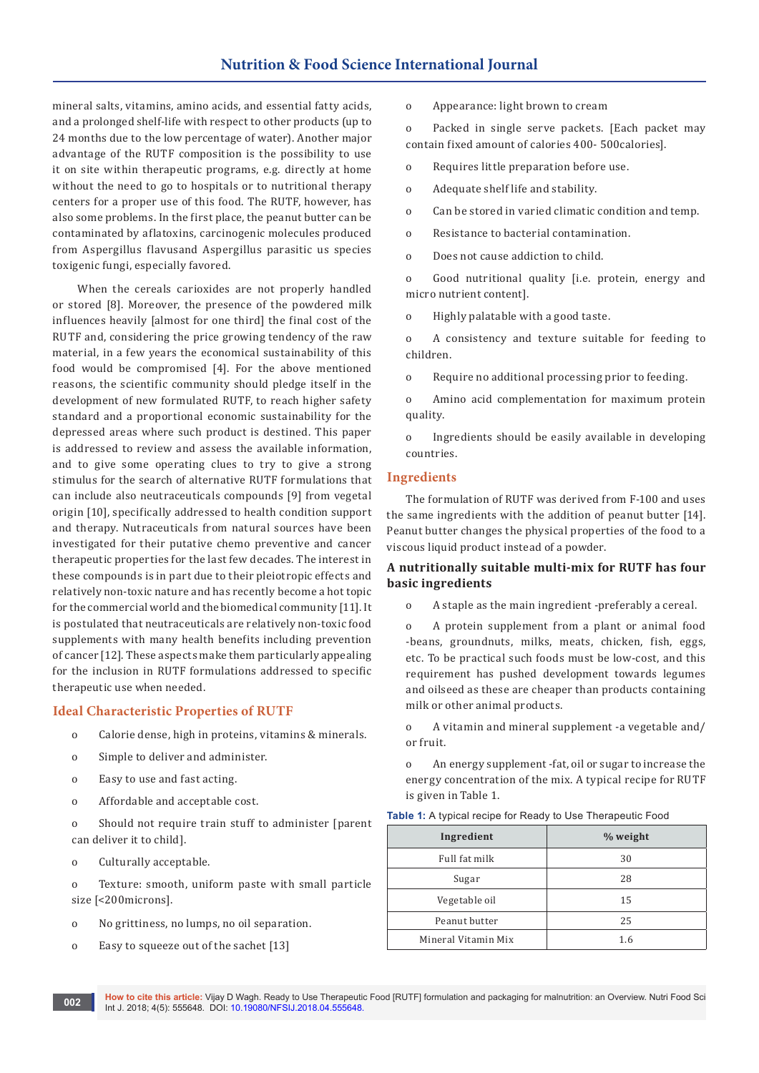mineral salts, vitamins, amino acids, and essential fatty acids, and a prolonged shelf-life with respect to other products (up to 24 months due to the low percentage of water). Another major advantage of the RUTF composition is the possibility to use it on site within therapeutic programs, e.g. directly at home without the need to go to hospitals or to nutritional therapy centers for a proper use of this food. The RUTF, however, has also some problems. In the first place, the peanut butter can be contaminated by aflatoxins, carcinogenic molecules produced from Aspergillus flavusand Aspergillus parasitic us species toxigenic fungi, especially favored.

 When the cereals carioxides are not properly handled or stored [8]. Moreover, the presence of the powdered milk influences heavily [almost for one third] the final cost of the RUTF and, considering the price growing tendency of the raw material, in a few years the economical sustainability of this food would be compromised [4]. For the above mentioned reasons, the scientific community should pledge itself in the development of new formulated RUTF, to reach higher safety standard and a proportional economic sustainability for the depressed areas where such product is destined. This paper is addressed to review and assess the available information, and to give some operating clues to try to give a strong stimulus for the search of alternative RUTF formulations that can include also neutraceuticals compounds [9] from vegetal origin [10], specifically addressed to health condition support and therapy. Nutraceuticals from natural sources have been investigated for their putative chemo preventive and cancer therapeutic properties for the last few decades. The interest in these compounds is in part due to their pleiotropic effects and relatively non-toxic nature and has recently become a hot topic for the commercial world and the biomedical community [11]. It is postulated that neutraceuticals are relatively non-toxic food supplements with many health benefits including prevention of cancer [12]. These aspects make them particularly appealing for the inclusion in RUTF formulations addressed to specific therapeutic use when needed.

#### **Ideal Characteristic Properties of RUTF**

- o Calorie dense, high in proteins, vitamins & minerals.
- o Simple to deliver and administer.
- o Easy to use and fast acting.
- o Affordable and acceptable cost.

o Should not require train stuff to administer [parent can deliver it to child].

o Culturally acceptable.

o Texture: smooth, uniform paste with small particle size [<200microns].

- o No grittiness, no lumps, no oil separation.
- o Easy to squeeze out of the sachet [13]

o Appearance: light brown to cream

o Packed in single serve packets. [Each packet may contain fixed amount of calories 400- 500calories].

- o Requires little preparation before use.
- o Adequate shelf life and stability.
- o Can be stored in varied climatic condition and temp.
- o Resistance to bacterial contamination.
- o Does not cause addiction to child.

o Good nutritional quality [i.e. protein, energy and micro nutrient content].

o Highly palatable with a good taste.

o A consistency and texture suitable for feeding to children.

o Require no additional processing prior to feeding.

o Amino acid complementation for maximum protein quality.

o Ingredients should be easily available in developing countries.

#### **Ingredients**

The formulation of RUTF was derived from F-100 and uses the same ingredients with the addition of peanut butter [14]. Peanut butter changes the physical properties of the food to a viscous liquid product instead of a powder.

## **A nutritionally suitable multi-mix for RUTF has four basic ingredients**

o A staple as the main ingredient -preferably a cereal.

o A protein supplement from a plant or animal food -beans, groundnuts, milks, meats, chicken, fish, eggs, etc. To be practical such foods must be low-cost, and this requirement has pushed development towards legumes and oilseed as these are cheaper than products containing milk or other animal products.

o A vitamin and mineral supplement -a vegetable and/ or fruit.

o An energy supplement -fat, oil or sugar to increase the energy concentration of the mix. A typical recipe for RUTF is given in Table 1.

|  |  |  | <b>Table 1:</b> A typical recipe for Ready to Use Therapeutic Food |
|--|--|--|--------------------------------------------------------------------|
|--|--|--|--------------------------------------------------------------------|

| Ingredient          | % weight |
|---------------------|----------|
| Full fat milk       | 30       |
| Sugar               | 28       |
| Vegetable oil       | 15       |
| Peanut butter       | 25       |
| Mineral Vitamin Mix | 1.6      |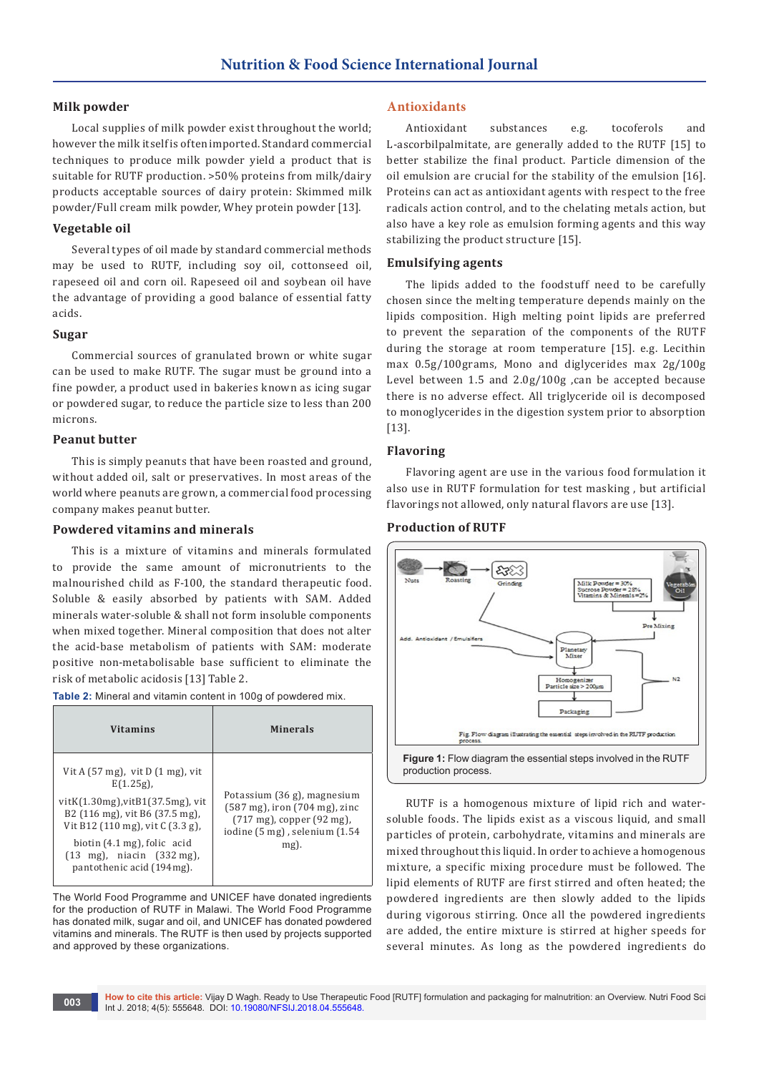## **Milk powder**

Local supplies of milk powder exist throughout the world; however the milk itself is often imported. Standard commercial techniques to produce milk powder yield a product that is suitable for RUTF production. >50% proteins from milk/dairy products acceptable sources of dairy protein: Skimmed milk powder/Full cream milk powder, Whey protein powder [13].

## **Vegetable oil**

Several types of oil made by standard commercial methods may be used to RUTF, including soy oil, cottonseed oil, rapeseed oil and corn oil. Rapeseed oil and soybean oil have the advantage of providing a good balance of essential fatty acids.

## **Sugar**

Commercial sources of granulated brown or white sugar can be used to make RUTF. The sugar must be ground into a fine powder, a product used in bakeries known as icing sugar or powdered sugar, to reduce the particle size to less than 200 microns.

## **Peanut butter**

This is simply peanuts that have been roasted and ground, without added oil, salt or preservatives. In most areas of the world where peanuts are grown, a commercial food processing company makes peanut butter.

## **Powdered vitamins and minerals**

This is a mixture of vitamins and minerals formulated to provide the same amount of micronutrients to the malnourished child as F-100, the standard therapeutic food. Soluble & easily absorbed by patients with SAM. Added minerals water-soluble & shall not form insoluble components when mixed together. Mineral composition that does not alter the acid-base metabolism of patients with SAM: moderate positive non-metabolisable base sufficient to eliminate the risk of metabolic acidosis [13] Table 2.

**Table 2:** Mineral and vitamin content in 100g of powdered mix.

| <b>Vitamins</b>                                                                                                                                                                                                                                                                                 | <b>Minerals</b>                                                                                                                                                                                 |
|-------------------------------------------------------------------------------------------------------------------------------------------------------------------------------------------------------------------------------------------------------------------------------------------------|-------------------------------------------------------------------------------------------------------------------------------------------------------------------------------------------------|
| Vit A $(57 \text{ mg})$ , vit D $(1 \text{ mg})$ , vit<br>$E(1.25g)$ ,<br>vitK(1.30mg), vitB1(37.5mg), vit<br>B2 (116 mg), vit B6 (37.5 mg),<br>Vit B12 (110 mg), vit C (3.3 g),<br>biotin (4.1 mg), folic acid<br>$(13 \text{ mg})$ , niacin $(332 \text{ mg})$ ,<br>pantothenic acid (194mg). | Potassium (36 g), magnesium<br>$(587 \text{ mg})$ , iron $(704 \text{ mg})$ , zinc<br>$(717 \text{ mg})$ , copper $(92 \text{ mg})$ ,<br>iodine $(5 \text{ mg})$ , selenium $(1.54)$<br>$mg$ ). |

The World Food Programme and UNICEF have donated ingredients for the production of RUTF in Malawi. The World Food Programme has donated milk, sugar and oil, and UNICEF has donated powdered vitamins and minerals. The RUTF is then used by projects supported and approved by these organizations.

## **Antioxidants**

Antioxidant substances e.g. tocoferols and L-ascorbilpalmitate, are generally added to the RUTF [15] to better stabilize the final product. Particle dimension of the oil emulsion are crucial for the stability of the emulsion [16]. Proteins can act as antioxidant agents with respect to the free radicals action control, and to the chelating metals action, but also have a key role as emulsion forming agents and this way stabilizing the product structure [15].

## **Emulsifying agents**

The lipids added to the foodstuff need to be carefully chosen since the melting temperature depends mainly on the lipids composition. High melting point lipids are preferred to prevent the separation of the components of the RUTF during the storage at room temperature [15]. e.g. Lecithin max 0.5g/100grams, Mono and diglycerides max 2g/100g Level between 1.5 and 2.0g/100g ,can be accepted because there is no adverse effect. All triglyceride oil is decomposed to monoglycerides in the digestion system prior to absorption [13].

## **Flavoring**

Flavoring agent are use in the various food formulation it also use in RUTF formulation for test masking , but artificial flavorings not allowed, only natural flavors are use [13].

## **Production of RUTF**



RUTF is a homogenous mixture of lipid rich and watersoluble foods. The lipids exist as a viscous liquid, and small particles of protein, carbohydrate, vitamins and minerals are mixed throughout this liquid. In order to achieve a homogenous mixture, a specific mixing procedure must be followed. The lipid elements of RUTF are first stirred and often heated; the powdered ingredients are then slowly added to the lipids during vigorous stirring. Once all the powdered ingredients are added, the entire mixture is stirred at higher speeds for several minutes. As long as the powdered ingredients do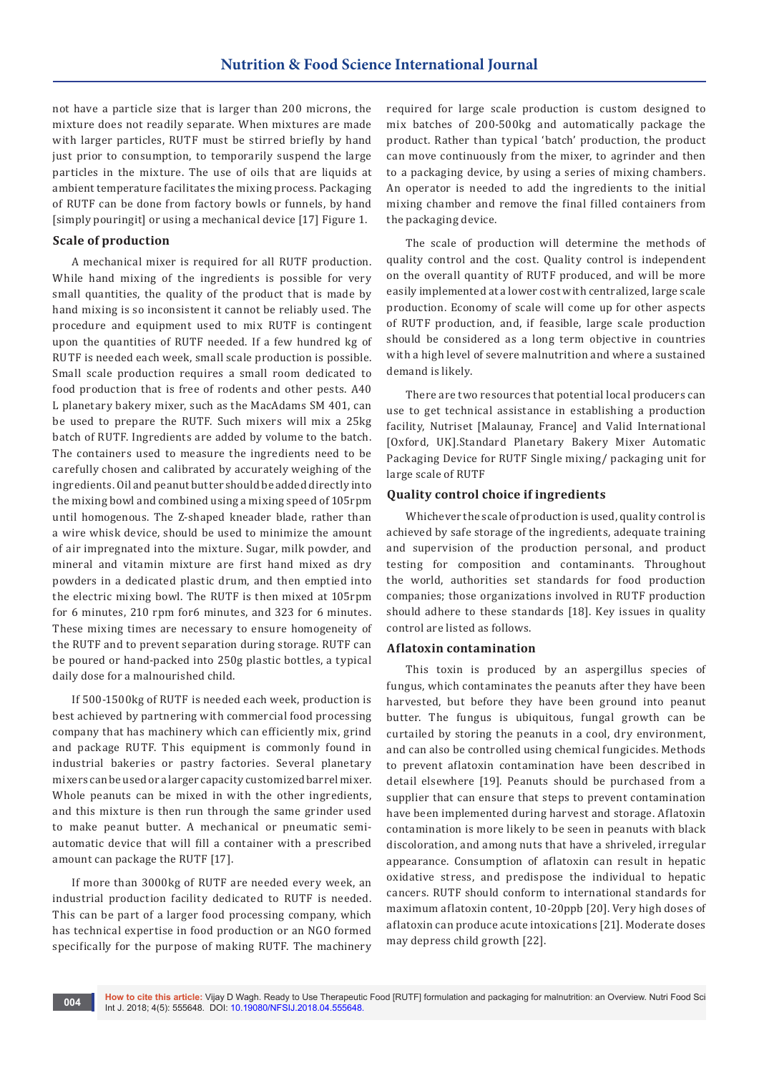not have a particle size that is larger than 200 microns, the mixture does not readily separate. When mixtures are made with larger particles, RUTF must be stirred briefly by hand just prior to consumption, to temporarily suspend the large particles in the mixture. The use of oils that are liquids at ambient temperature facilitates the mixing process. Packaging of RUTF can be done from factory bowls or funnels, by hand [simply pouringit] or using a mechanical device [17] Figure 1.

#### **Scale of production**

A mechanical mixer is required for all RUTF production. While hand mixing of the ingredients is possible for very small quantities, the quality of the product that is made by hand mixing is so inconsistent it cannot be reliably used. The procedure and equipment used to mix RUTF is contingent upon the quantities of RUTF needed. If a few hundred kg of RUTF is needed each week, small scale production is possible. Small scale production requires a small room dedicated to food production that is free of rodents and other pests. A40 L planetary bakery mixer, such as the MacAdams SM 401, can be used to prepare the RUTF. Such mixers will mix a 25kg batch of RUTF. Ingredients are added by volume to the batch. The containers used to measure the ingredients need to be carefully chosen and calibrated by accurately weighing of the ingredients. Oil and peanut butter should be added directly into the mixing bowl and combined using a mixing speed of 105rpm until homogenous. The Z-shaped kneader blade, rather than a wire whisk device, should be used to minimize the amount of air impregnated into the mixture. Sugar, milk powder, and mineral and vitamin mixture are first hand mixed as dry powders in a dedicated plastic drum, and then emptied into the electric mixing bowl. The RUTF is then mixed at 105rpm for 6 minutes, 210 rpm for6 minutes, and 323 for 6 minutes. These mixing times are necessary to ensure homogeneity of the RUTF and to prevent separation during storage. RUTF can be poured or hand-packed into 250g plastic bottles, a typical daily dose for a malnourished child.

If 500-1500kg of RUTF is needed each week, production is best achieved by partnering with commercial food processing company that has machinery which can efficiently mix, grind and package RUTF. This equipment is commonly found in industrial bakeries or pastry factories. Several planetary mixers can be used or a larger capacity customized barrel mixer. Whole peanuts can be mixed in with the other ingredients, and this mixture is then run through the same grinder used to make peanut butter. A mechanical or pneumatic semiautomatic device that will fill a container with a prescribed amount can package the RUTF [17].

If more than 3000kg of RUTF are needed every week, an industrial production facility dedicated to RUTF is needed. This can be part of a larger food processing company, which has technical expertise in food production or an NGO formed specifically for the purpose of making RUTF. The machinery

required for large scale production is custom designed to mix batches of 200-500kg and automatically package the product. Rather than typical 'batch' production, the product can move continuously from the mixer, to agrinder and then to a packaging device, by using a series of mixing chambers. An operator is needed to add the ingredients to the initial mixing chamber and remove the final filled containers from the packaging device.

The scale of production will determine the methods of quality control and the cost. Quality control is independent on the overall quantity of RUTF produced, and will be more easily implemented at a lower cost with centralized, large scale production. Economy of scale will come up for other aspects of RUTF production, and, if feasible, large scale production should be considered as a long term objective in countries with a high level of severe malnutrition and where a sustained demand is likely.

There are two resources that potential local producers can use to get technical assistance in establishing a production facility, Nutriset [Malaunay, France] and Valid International [Oxford, UK].Standard Planetary Bakery Mixer Automatic Packaging Device for RUTF Single mixing/ packaging unit for large scale of RUTF

## **Quality control choice if ingredients**

Whichever the scale of production is used, quality control is achieved by safe storage of the ingredients, adequate training and supervision of the production personal, and product testing for composition and contaminants. Throughout the world, authorities set standards for food production companies; those organizations involved in RUTF production should adhere to these standards [18]. Key issues in quality control are listed as follows.

## **Aflatoxin contamination**

This toxin is produced by an aspergillus species of fungus, which contaminates the peanuts after they have been harvested, but before they have been ground into peanut butter. The fungus is ubiquitous, fungal growth can be curtailed by storing the peanuts in a cool, dry environment, and can also be controlled using chemical fungicides. Methods to prevent aflatoxin contamination have been described in detail elsewhere [19]. Peanuts should be purchased from a supplier that can ensure that steps to prevent contamination have been implemented during harvest and storage. Aflatoxin contamination is more likely to be seen in peanuts with black discoloration, and among nuts that have a shriveled, irregular appearance. Consumption of aflatoxin can result in hepatic oxidative stress, and predispose the individual to hepatic cancers. RUTF should conform to international standards for maximum aflatoxin content, 10-20ppb [20]. Very high doses of aflatoxin can produce acute intoxications [21]. Moderate doses may depress child growth [22].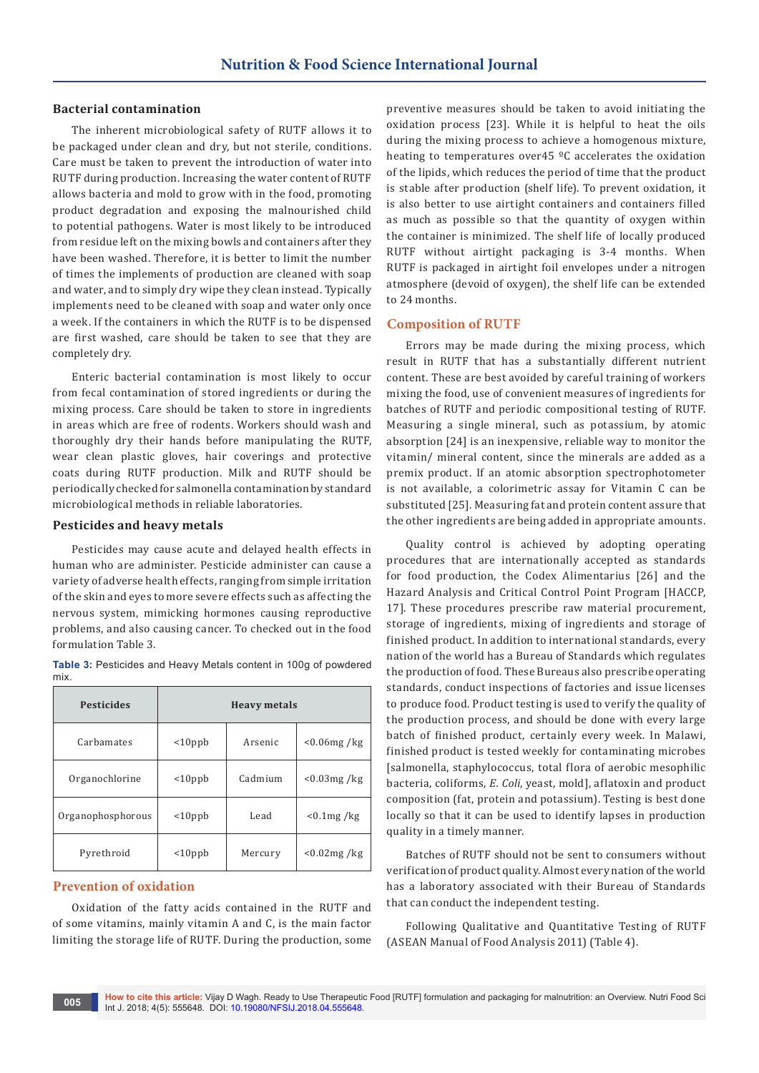#### **Bacterial contamination**

The inherent microbiological safety of RUTF allows it to be packaged under clean and dry, but not sterile, conditions. Care must be taken to prevent the introduction of water into RUTF during production. Increasing the water content of RUTF allows bacteria and mold to grow with in the food, promoting product degradation and exposing the malnourished child to potential pathogens. Water is most likely to be introduced from residue left on the mixing bowls and containers after they have been washed. Therefore, it is better to limit the number of times the implements of production are cleaned with soap and water, and to simply dry wipe they clean instead. Typically implements need to be cleaned with soap and water only once a week. If the containers in which the RUTF is to be dispensed are first washed, care should be taken to see that they are completely dry.

Enteric bacterial contamination is most likely to occur from fecal contamination of stored ingredients or during the mixing process. Care should be taken to store in ingredients in areas which are free of rodents. Workers should wash and thoroughly dry their hands before manipulating the RUTF, wear clean plastic gloves, hair coverings and protective coats during RUTF production. Milk and RUTF should be periodically checked for salmonella contamination by standard microbiological methods in reliable laboratories.

#### **Pesticides and heavy metals**

Pesticides may cause acute and delayed health effects in human who are administer. Pesticide administer can cause a variety of adverse health effects, ranging from simple irritation of the skin and eyes to more severe effects such as affecting the nervous system, mimicking hormones causing reproductive problems, and also causing cancer. To checked out in the food formulation Table 3.

|      | Table 3: Pesticides and Heavy Metals content in 100g of powdered |  |  |  |
|------|------------------------------------------------------------------|--|--|--|
| mix. |                                                                  |  |  |  |

| <b>Pesticides</b> | <b>Heavy metals</b> |         |                |
|-------------------|---------------------|---------|----------------|
| Carbamates        | $10$ ppb            | Arsenic | $< 0.06$ mg/kg |
| Organochlorine    | $10$ ppb            | Cadmium | $< 0.03$ mg/kg |
| Organophosphorous | $10$ ppb            | Lead    | $< 0.1$ mg/kg  |
| Pyrethroid        | $10$ ppb            | Mercury | $< 0.02$ mg/kg |

## **Prevention of oxidation**

Oxidation of the fatty acids contained in the RUTF and of some vitamins, mainly vitamin A and C, is the main factor limiting the storage life of RUTF. During the production, some preventive measures should be taken to avoid initiating the oxidation process [23]. While it is helpful to heat the oils during the mixing process to achieve a homogenous mixture, heating to temperatures over45 ºC accelerates the oxidation of the lipids, which reduces the period of time that the product is stable after production (shelf life). To prevent oxidation, it is also better to use airtight containers and containers filled as much as possible so that the quantity of oxygen within the container is minimized. The shelf life of locally produced RUTF without airtight packaging is 3-4 months. When RUTF is packaged in airtight foil envelopes under a nitrogen atmosphere (devoid of oxygen), the shelf life can be extended to 24 months.

## **Composition of RUTF**

Errors may be made during the mixing process, which result in RUTF that has a substantially different nutrient content. These are best avoided by careful training of workers mixing the food, use of convenient measures of ingredients for batches of RUTF and periodic compositional testing of RUTF. Measuring a single mineral, such as potassium, by atomic absorption [24] is an inexpensive, reliable way to monitor the vitamin/ mineral content, since the minerals are added as a premix product. If an atomic absorption spectrophotometer is not available, a colorimetric assay for Vitamin C can be substituted [25]. Measuring fat and protein content assure that the other ingredients are being added in appropriate amounts.

Quality control is achieved by adopting operating procedures that are internationally accepted as standards for food production, the Codex Alimentarius [26] and the Hazard Analysis and Critical Control Point Program [HACCP, 17]. These procedures prescribe raw material procurement, storage of ingredients, mixing of ingredients and storage of finished product. In addition to international standards, every nation of the world has a Bureau of Standards which regulates the production of food. These Bureaus also prescribe operating standards, conduct inspections of factories and issue licenses to produce food. Product testing is used to verify the quality of the production process, and should be done with every large batch of finished product, certainly every week. In Malawi, finished product is tested weekly for contaminating microbes [salmonella, staphylococcus, total flora of aerobic mesophilic bacteria, coliforms, *E. Coli*, yeast, mold], aflatoxin and product composition (fat, protein and potassium). Testing is best done locally so that it can be used to identify lapses in production quality in a timely manner.

Batches of RUTF should not be sent to consumers without verification of product quality. Almost every nation of the world has a laboratory associated with their Bureau of Standards that can conduct the independent testing.

Following Qualitative and Quantitative Testing of RUTF (ASEAN Manual of Food Analysis 2011) (Table 4).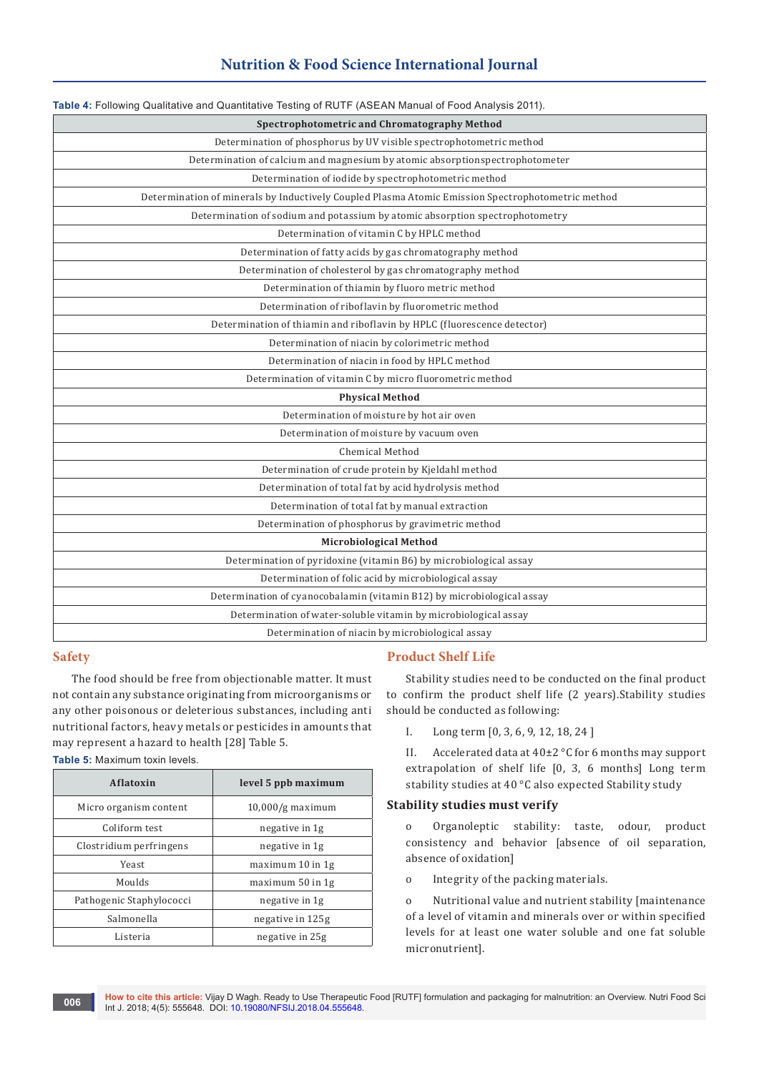## **Nutrition & Food Science International Journal**

| Table 4: Following Qualitative and Quantitative Testing of RUTF (ASEAN Manual of Food Analysis 2011). |  |  |  |
|-------------------------------------------------------------------------------------------------------|--|--|--|
| Spectrophotometric and Chromatography Method                                                          |  |  |  |
| Determination of phosphorus by UV visible spectrophotometric method                                   |  |  |  |
| Determination of calcium and magnesium by atomic absorptionspectrophotometer                          |  |  |  |
| Determination of iodide by spectrophotometric method                                                  |  |  |  |
| Determination of minerals by Inductively Coupled Plasma Atomic Emission Spectrophotometric method     |  |  |  |
| Determination of sodium and potassium by atomic absorption spectrophotometry                          |  |  |  |
| Determination of vitamin C by HPLC method                                                             |  |  |  |
| Determination of fatty acids by gas chromatography method                                             |  |  |  |
| Determination of cholesterol by gas chromatography method                                             |  |  |  |
| Determination of thiamin by fluoro metric method                                                      |  |  |  |
| Determination of riboflavin by fluorometric method                                                    |  |  |  |
| Determination of thiamin and riboflavin by HPLC (fluorescence detector)                               |  |  |  |
| Determination of niacin by colorimetric method                                                        |  |  |  |
| Determination of niacin in food by HPLC method                                                        |  |  |  |
| Determination of vitamin C by micro fluorometric method                                               |  |  |  |
| <b>Physical Method</b>                                                                                |  |  |  |
| Determination of moisture by hot air oven                                                             |  |  |  |
| Determination of moisture by vacuum oven                                                              |  |  |  |
| Chemical Method                                                                                       |  |  |  |
| Determination of crude protein by Kjeldahl method                                                     |  |  |  |
| Determination of total fat by acid hydrolysis method                                                  |  |  |  |
| Determination of total fat by manual extraction                                                       |  |  |  |
| Determination of phosphorus by gravimetric method                                                     |  |  |  |
| <b>Microbiological Method</b>                                                                         |  |  |  |
| Determination of pyridoxine (vitamin B6) by microbiological assay                                     |  |  |  |
| Determination of folic acid by microbiological assay                                                  |  |  |  |
| Determination of cyanocobalamin (vitamin B12) by microbiological assay                                |  |  |  |
| Determination of water-soluble vitamin by microbiological assay                                       |  |  |  |
| Determination of niacin by microbiological assay                                                      |  |  |  |

## **Safety**

The food should be free from objectionable matter. It must not contain any substance originating from microorganisms or any other poisonous or deleterious substances, including anti nutritional factors, heavy metals or pesticides in amounts that may represent a hazard to health [28] Table 5.

**Table 5:** Maximum toxin levels.

| Aflatoxin                | level 5 ppb maximum |  |
|--------------------------|---------------------|--|
| Micro organism content   | $10,000/g$ maximum  |  |
| Coliform test            | negative in 1g      |  |
| Clostridium perfringens  | negative in 1g      |  |
| Yeast                    | maximum 10 in 1g    |  |
| Moulds                   | maximum 50 in 1g    |  |
| Pathogenic Staphylococci | negative in 1g      |  |
| Salmonella               | negative in 125g    |  |
| Listeria                 | negative in 25g     |  |

#### **Product Shelf Life**

Stability studies need to be conducted on the final product to confirm the product shelf life (2 years).Stability studies should be conducted as following:

I. Long term [0, 3, 6, 9, 12, 18, 24 ]

II. Accelerated data at 40±2 °C for 6 months may support extrapolation of shelf life [0, 3, 6 months] Long term stability studies at 40 °C also expected Stability study

## **Stability studies must verify**

o Organoleptic stability: taste, odour, product consistency and behavior [absence of oil separation, absence of oxidation]

o Integrity of the packing materials.

o Nutritional value and nutrient stability [maintenance of a level of vitamin and minerals over or within specified levels for at least one water soluble and one fat soluble micronutrient].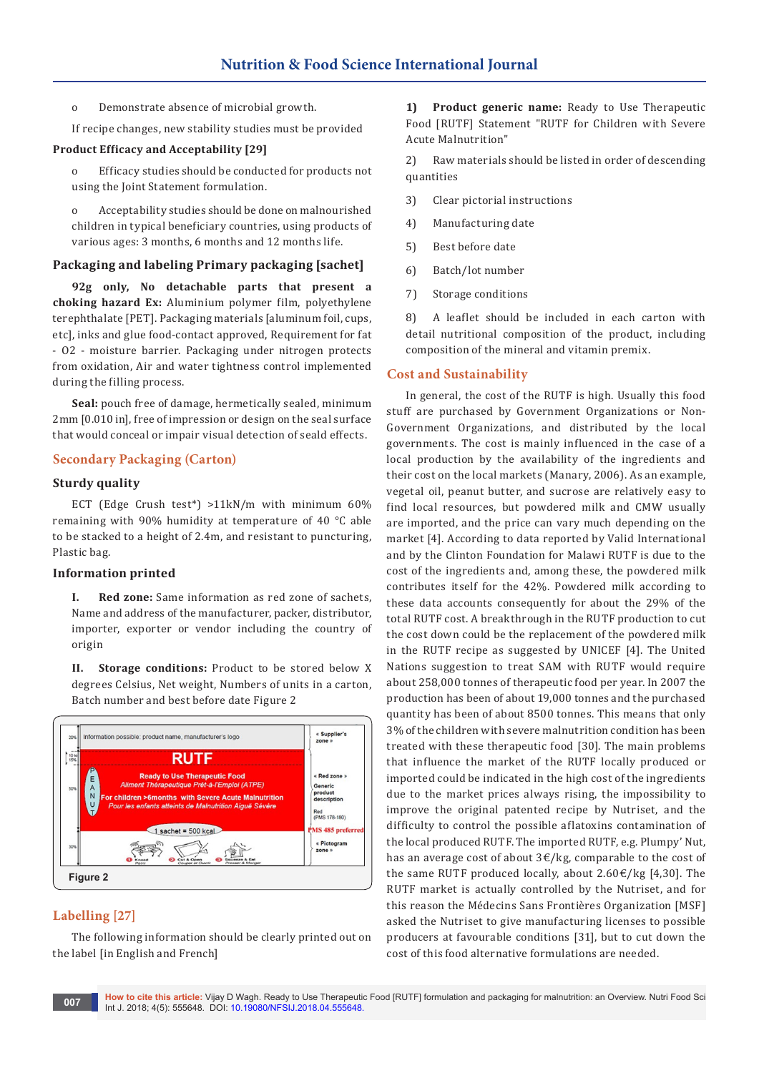- o Demonstrate absence of microbial growth.
- If recipe changes, new stability studies must be provided

#### **Product Efficacy and Acceptability [29]**

Efficacy studies should be conducted for products not using the Joint Statement formulation.

o Acceptability studies should be done on malnourished children in typical beneficiary countries, using products of various ages: 3 months, 6 months and 12 months life.

#### **Packaging and labeling Primary packaging [sachet]**

**92g only, No detachable parts that present a choking hazard Ex:** Aluminium polymer film, polyethylene terephthalate [PET]. Packaging materials [aluminum foil, cups, etc], inks and glue food-contact approved, Requirement for fat - O2 - moisture barrier. Packaging under nitrogen protects from oxidation, Air and water tightness control implemented during the filling process.

**Seal:** pouch free of damage, hermetically sealed, minimum 2mm [0.010 in], free of impression or design on the seal surface that would conceal or impair visual detection of seald effects.

## **Secondary Packaging (Carton)**

## **Sturdy quality**

ECT (Edge Crush test\*) >11kN/m with minimum 60% remaining with 90% humidity at temperature of 40 °C able to be stacked to a height of 2.4m, and resistant to puncturing, Plastic bag.

#### **Information printed**

**I. Red zone:** Same information as red zone of sachets, Name and address of the manufacturer, packer, distributor, importer, exporter or vendor including the country of origin

**II. Storage conditions:** Product to be stored below X degrees Celsius, Net weight, Numbers of units in a carton, Batch number and best before date Figure 2



## **Labelling [27]**

The following information should be clearly printed out on the label [in English and French]

**1) Product generic name:** Ready to Use Therapeutic Food [RUTF] Statement "RUTF for Children with Severe Acute Malnutrition"

2) Raw materials should be listed in order of descending quantities

- 3) Clear pictorial instructions
- 4) Manufacturing date
- 5) Best before date
- 6) Batch/lot number
- 7) Storage conditions

8) A leaflet should be included in each carton with detail nutritional composition of the product, including composition of the mineral and vitamin premix.

#### **Cost and Sustainability**

In general, the cost of the RUTF is high. Usually this food stuff are purchased by Government Organizations or Non-Government Organizations, and distributed by the local governments. The cost is mainly influenced in the case of a local production by the availability of the ingredients and their cost on the local markets (Manary, 2006). As an example, vegetal oil, peanut butter, and sucrose are relatively easy to find local resources, but powdered milk and CMW usually are imported, and the price can vary much depending on the market [4]. According to data reported by Valid International and by the Clinton Foundation for Malawi RUTF is due to the cost of the ingredients and, among these, the powdered milk contributes itself for the 42%. Powdered milk according to these data accounts consequently for about the 29% of the total RUTF cost. A breakthrough in the RUTF production to cut the cost down could be the replacement of the powdered milk in the RUTF recipe as suggested by UNICEF [4]. The United Nations suggestion to treat SAM with RUTF would require about 258,000 tonnes of therapeutic food per year. In 2007 the production has been of about 19,000 tonnes and the purchased quantity has been of about 8500 tonnes. This means that only 3% of the children with severe malnutrition condition has been treated with these therapeutic food [30]. The main problems that influence the market of the RUTF locally produced or imported could be indicated in the high cost of the ingredients due to the market prices always rising, the impossibility to improve the original patented recipe by Nutriset, and the difficulty to control the possible aflatoxins contamination of the local produced RUTF. The imported RUTF, e.g. Plumpy' Nut, has an average cost of about 3€/kg, comparable to the cost of the same RUTF produced locally, about  $2.60 \in /kg$  [4,30]. The RUTF market is actually controlled by the Nutriset, and for this reason the Médecins Sans Frontières Organization [MSF] asked the Nutriset to give manufacturing licenses to possible producers at favourable conditions [31], but to cut down the cost of this food alternative formulations are needed.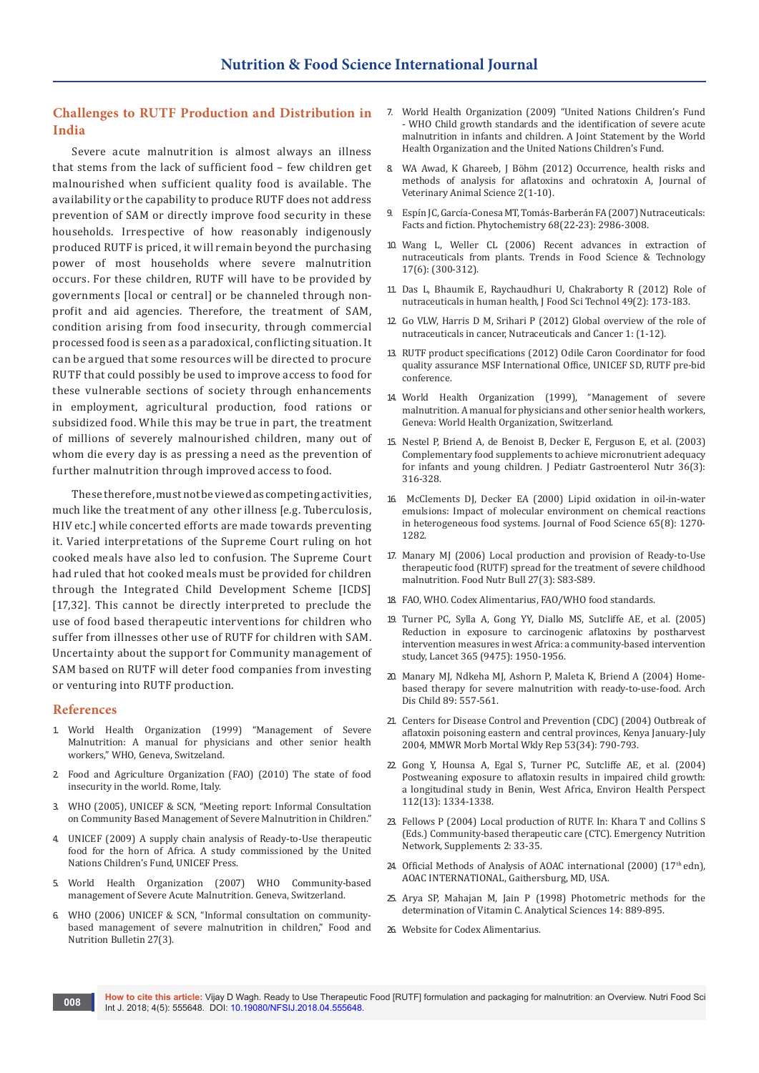## **Challenges to RUTF Production and Distribution in India**

Severe acute malnutrition is almost always an illness that stems from the lack of sufficient food – few children get malnourished when sufficient quality food is available. The availability or the capability to produce RUTF does not address prevention of SAM or directly improve food security in these households. Irrespective of how reasonably indigenously produced RUTF is priced, it will remain beyond the purchasing power of most households where severe malnutrition occurs. For these children, RUTF will have to be provided by governments [local or central] or be channeled through nonprofit and aid agencies. Therefore, the treatment of SAM, condition arising from food insecurity, through commercial processed food is seen as a paradoxical, conflicting situation. It can be argued that some resources will be directed to procure RUTF that could possibly be used to improve access to food for these vulnerable sections of society through enhancements in employment, agricultural production, food rations or subsidized food. While this may be true in part, the treatment of millions of severely malnourished children, many out of whom die every day is as pressing a need as the prevention of further malnutrition through improved access to food.

These therefore, must not be viewed as competing activities, much like the treatment of any other illness [e.g. Tuberculosis, HIV etc.] while concerted efforts are made towards preventing it. Varied interpretations of the Supreme Court ruling on hot cooked meals have also led to confusion. The Supreme Court had ruled that hot cooked meals must be provided for children through the Integrated Child Development Scheme [ICDS] [17,32]. This cannot be directly interpreted to preclude the use of food based therapeutic interventions for children who suffer from illnesses other use of RUTF for children with SAM. Uncertainty about the support for Community management of SAM based on RUTF will deter food companies from investing or venturing into RUTF production.

#### **References**

- 1. World Health Organization (1999) "Management of Severe Malnutrition: A manual for physicians and other senior health workers," WHO, Geneva, Switzeland.
- 2. Food and Agriculture Organization (FAO) (2010) The state of food insecurity in the world. Rome, Italy.
- 3. WHO (2005), UNICEF & SCN, "Meeting report: Informal Consultation on Community Based Management of Severe Malnutrition in Children."
- 4. UNICEF (2009) A supply chain analysis of Ready-to-Use therapeutic food for the horn of Africa. A study commissioned by the United Nations Children's Fund, UNICEF Press.
- 5. World Health Organization (2007) WHO Community-based management of Severe Acute Malnutrition. Geneva, Switzerland.
- 6. [WHO \(2006\) UNICEF & SCN, "Informal consultation on community](http://www.who.int/nutrition/publications/severemalnutrition/FNB_0379_5721/en/)[based management of severe malnutrition in children," Food and](http://www.who.int/nutrition/publications/severemalnutrition/FNB_0379_5721/en/)  [Nutrition Bulletin 27\(3\).](http://www.who.int/nutrition/publications/severemalnutrition/FNB_0379_5721/en/)
- 7. World Health Organization (2009) "United Nations Children's Fund - WHO Child growth standards and the identification of severe acute malnutrition in infants and children. A Joint Statement by the World Health Organization and the United Nations Children's Fund.
- 8. [WA Awad, K Ghareeb, J Böhm \(2012\) Occurrence, health risks and](https://www.cabdirect.org/cabdirect/abstract/20123222037)  [methods of analysis for aflatoxins and ochratoxin A, Journal of](https://www.cabdirect.org/cabdirect/abstract/20123222037)  [Veterinary Animal Science 2\(1-10\).](https://www.cabdirect.org/cabdirect/abstract/20123222037)
- 9. [Espín JC, García-Conesa MT, Tomás-Barberán FA \(2007\) Nutraceuticals:](https://www.ncbi.nlm.nih.gov/pubmed/17976666)  [Facts and fiction. Phytochemistry 68\(22-23\): 2986-3008.](https://www.ncbi.nlm.nih.gov/pubmed/17976666)
- 10. [Wang L, Weller CL \(2006\) Recent advances in extraction of](http://agris.fao.org/agris-search/search.do?recordID=US201301108337)  [nutraceuticals from plants. Trends in Food Science & Technology](http://agris.fao.org/agris-search/search.do?recordID=US201301108337)  [17\(6\): \(300-312\).](http://agris.fao.org/agris-search/search.do?recordID=US201301108337)
- 11. [Das L, Bhaumik E, Raychaudhuri U, Chakraborty R \(2012\) Role of](https://www.ncbi.nlm.nih.gov/pubmed/23572839/)  [nutraceuticals in human health, J Food Sci Technol 49\(2\): 173-183.](https://www.ncbi.nlm.nih.gov/pubmed/23572839/)
- 12. [Go VLW, Harris D M, Srihari P \(2012\) Global overview of the role of](https://link.springer.com/chapter/10.1007/978-94-007-2630-7_1)  [nutraceuticals in cancer, Nutraceuticals and Cancer 1: \(1-12\).](https://link.springer.com/chapter/10.1007/978-94-007-2630-7_1)
- 13. RUTF product specifications (2012) Odile Caron Coordinator for food quality assurance MSF International Office, UNICEF SD, RUTF pre-bid conference.
- 14. World Health Organization (1999), "Management of severe malnutrition. A manual for physicians and other senior health workers, Geneva: World Health Organization, Switzerland.
- 15. Nestel P, Briend A, de Benoist B, Decker E, Ferguson E, et al. (2003) Complementary food supplements to achieve micronutrient adequacy for infants and young children. J Pediatr Gastroenterol Nutr 36(3): 316-328.
- 16. [McClements DJ, Decker EA \(2000\) Lipid oxidation in oil-in-water](http://onlinelibrary.wiley.com/doi/10.1111/j.1365-2621.2000.tb10596.x/abstract)  [emulsions: Impact of molecular environment on chemical reactions](http://onlinelibrary.wiley.com/doi/10.1111/j.1365-2621.2000.tb10596.x/abstract)  [in heterogeneous food systems. Journal of Food Science](http://onlinelibrary.wiley.com/doi/10.1111/j.1365-2621.2000.tb10596.x/abstract) 65(8): 1270- [1282.](http://onlinelibrary.wiley.com/doi/10.1111/j.1365-2621.2000.tb10596.x/abstract)
- 17. [Manary MJ \(2006\) Local production and provision of Ready-to-Use](https://www.ncbi.nlm.nih.gov/pubmed/17076214)  [therapeutic food \(RUTF\) spread for the treatment of severe childhood](https://www.ncbi.nlm.nih.gov/pubmed/17076214)  [malnutrition. Food Nutr Bull 27\(3\): S83-S89.](https://www.ncbi.nlm.nih.gov/pubmed/17076214)
- 18. FAO, WHO. Codex Alimentarius, FAO/WHO food standards.
- 19. [Turner PC, Sylla A, Gong YY, Diallo MS, Sutcliffe AE, et al. \(2005\)](https://www.ncbi.nlm.nih.gov/pubmed/15936422)  [Reduction in exposure to carcinogenic aflatoxins by postharvest](https://www.ncbi.nlm.nih.gov/pubmed/15936422)  [intervention measures in west Africa: a community-based intervention](https://www.ncbi.nlm.nih.gov/pubmed/15936422)  study, Lancet [365 \(9475\): 1950-1956.](https://www.ncbi.nlm.nih.gov/pubmed/15936422)
- 20. [Manary MJ, Ndkeha MJ, Ashorn P, Maleta K, Briend A \(2004\) Home](https://www.ncbi.nlm.nih.gov/pubmed/15155403/)[based therapy for severe malnutrition with ready-to-use-food. Arch](https://www.ncbi.nlm.nih.gov/pubmed/15155403/)  [Dis Child 89: 557-561.](https://www.ncbi.nlm.nih.gov/pubmed/15155403/)
- 21. [Centers for Disease Control and Prevention \(CDC\) \(2004\) Outbreak of](https://www.ncbi.nlm.nih.gov/pubmed/15343146)  [aflatoxin poisoning eastern and central provinces, Kenya January-July](https://www.ncbi.nlm.nih.gov/pubmed/15343146)  [2004, MMWR Morb Mortal Wkly Rep 53\(34\): 790-793.](https://www.ncbi.nlm.nih.gov/pubmed/15343146)
- 22. [Gong Y, Hounsa A, Egal S, Turner PC, Sutcliffe AE, et al. \(2004\)](https://www.ncbi.nlm.nih.gov/pubmed/15345349/)  [Postweaning exposure to aflatoxin results in impaired child growth:](https://www.ncbi.nlm.nih.gov/pubmed/15345349/)  [a longitudinal study in Benin, West Africa, Environ Health Perspect](https://www.ncbi.nlm.nih.gov/pubmed/15345349/)  [112\(13\): 1334-1338.](https://www.ncbi.nlm.nih.gov/pubmed/15345349/)
- 23. Fellows P (2004) Local production of RUTF. In: Khara T and Collins S (Eds.) Community-based therapeutic care (CTC). Emergency Nutrition Network, Supplements 2: 33-35.
- 24. Official Methods of Analysis of AOAC international (2000) ( $17<sup>th</sup>$ edn), AOAC INTERNATIONAL, Gaithersburg, MD, USA.
- 25. [Arya SP, Mahajan M, Jain P \(1998\) Photometric methods for the](https://www.jstage.jst.go.jp/article/analsci/14/5/14_5_889/_pdf)  [determination of Vitamin C. Analytical Sciences 14: 889-895.](https://www.jstage.jst.go.jp/article/analsci/14/5/14_5_889/_pdf)
- 26. Website for Codex Alimentarius.